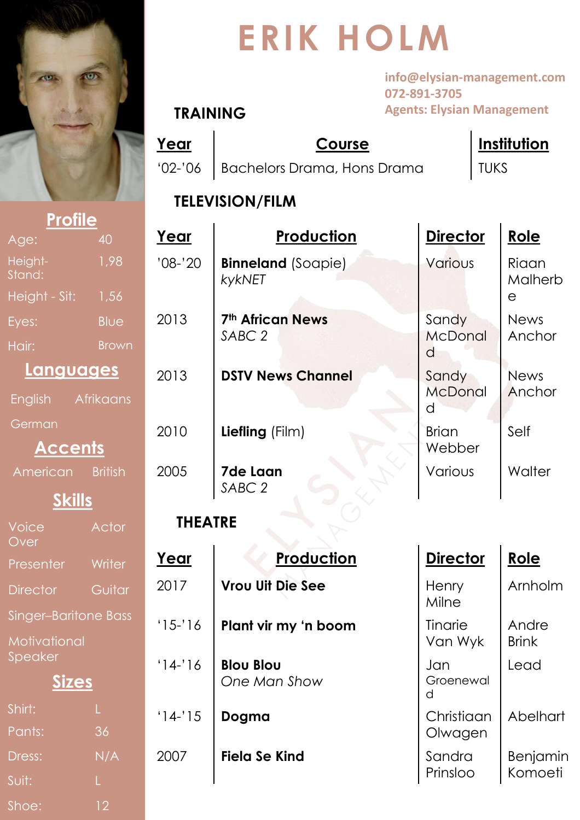

Age:

Eyes:

Hair:

Height-Stand:

Height - Sit:

American

**German** 

Voice Over

Presenter

Director

Speaker

Singer-Bariton

**Motivational** 

English Afri

Shoe: 12

Shirt:

Pants:

Dress:

Suit:

# **ERIK HOLM**

**info@elysian-management.com 072-891-3705 Agents: Elysian Management**

#### **TRAINING**

**Year Course Institution** '02-'06 | Bachelors Drama, Hons Drama | TUKS

**TELEVISION/FILM**

| <b>Profile</b>    |                  |                |                                              |                       |                  |
|-------------------|------------------|----------------|----------------------------------------------|-----------------------|------------------|
| je:               | 40               | Year           | Production                                   | <b>Director</b>       | Role             |
| ight-<br>ind:     | 1,98             | $'08-'20$      | <b>Binneland (Soapie)</b><br>kykNET          | Various               | Riaan<br>Malherb |
| ight - Sit:       | 1,56             |                |                                              |                       | $\Theta$         |
| es:               | <b>Blue</b>      | 2013           | <b>7th African News</b><br>SABC <sub>2</sub> | Sandy                 | <b>News</b>      |
| iir:              | <b>Brown</b>     |                |                                              | <b>McDonal</b><br>d   | Anchor           |
| Languages         |                  | 2013           | <b>DSTV News Channel</b>                     | Sandy                 | <b>News</b>      |
| <b>glish</b>      | <b>Afrikaans</b> |                |                                              | <b>McDonal</b><br>d   | Anchor           |
| erman             |                  | 2010           | Liefling (Film)                              | <b>Brian</b>          | Self             |
| <b>Accents</b>    |                  |                |                                              | Webber                |                  |
| merican           | <b>British</b>   | 2005           | <b>7de Laan</b><br>SABC <sub>2</sub>         | Various               | Walter           |
| <b>Skills</b>     |                  |                |                                              |                       |                  |
| vice<br>/er       | Actor            | <b>THEATRE</b> |                                              |                       |                  |
| esenter           | Writer           | Year           | Production                                   | <b>Director</b>       | Role             |
| ector             | Guitar           | 2017           | <b>Vrou Uit Die See</b>                      | Henry<br>Milne        | Arnholm          |
| ger–Baritone Bass |                  | $'15-'16$      | Plant vir my 'n boom                         | Tinarie               | Andre            |
| otivational       |                  |                |                                              | Van Wyk               | <b>Brink</b>     |
| eaker             |                  | $14 - 16$      | <b>Blou Blou</b>                             | Jan                   | Lead             |
| <b>Sizes</b>      |                  |                | One Man Show                                 | Groenewal<br>d        |                  |
| irt:<br>nts:      | 36               | $'14-'15$      | Dogma                                        | Christiaan<br>Olwagen | Abelhart         |
| ess:              | N/A              | 2007           | <b>Fiela Se Kind</b>                         | Sandra                | <b>Benjamin</b>  |
| it:               |                  |                |                                              | Prinsloo              | Komoeti          |
|                   |                  |                |                                              |                       |                  |